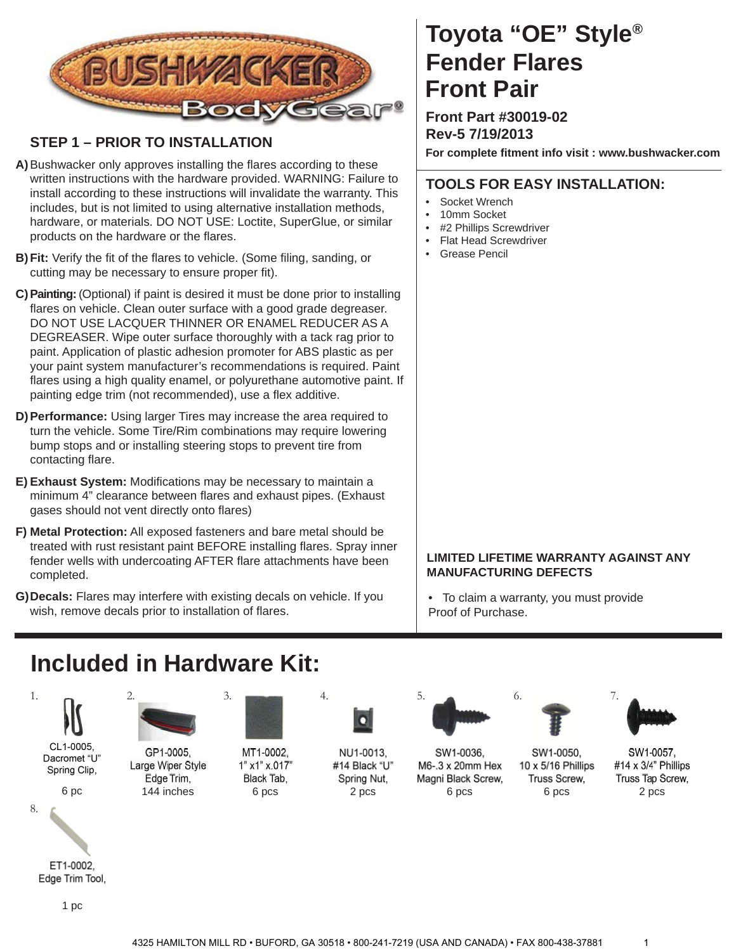

## **STEP 1 – PRIOR TO INSTALLATION**

- A) Bushwacker only approves installing the flares according to these written instructions with the hardware provided. WARNING: Failure to install according to these instructions will invalidate the warranty. This includes, but is not limited to using alternative installation methods, hardware, or materials. DO NOT USE: Loctite, SuperGlue, or similar products on the hardware or the flares.
- **B) Fit:** Verify the fit of the flares to vehicle. (Some filing, sanding, or cutting may be necessary to ensure proper fit).
- **C) Painting:** (Optional) if paint is desired it must be done prior to installing flares on vehicle. Clean outer surface with a good grade degreaser. DO NOT USE LACQUER THINNER OR ENAMEL REDUCER AS A DEGREASER. Wipe outer surface thoroughly with a tack rag prior to paint. Application of plastic adhesion promoter for ABS plastic as per your paint system manufacturer's recommendations is required. Paint flares using a high quality enamel, or polyurethane automotive paint. If painting edge trim (not recommended), use a flex additive.
- **D) Performance:** Using larger Tires may increase the area required to turn the vehicle. Some Tire/Rim combinations may require lowering bump stops and or installing steering stops to prevent tire from contacting flare.
- E) Exhaust System: Modifications may be necessary to maintain a minimum 4" clearance between flares and exhaust pipes. (Exhaust gases should not vent directly onto flares)
- **F) Metal Protection:** All exposed fasteners and bare metal should be treated with rust resistant paint BEFORE installing flares. Spray inner fender wells with undercoating AFTER flare attachments have been completed.
- **G) Decals:** Flares may interfere with existing decals on vehicle. If you wish, remove decals prior to installation of flares.

# **Toyota "OE" Style® Fender Flares Front Pair**

**Front Part #30019-02 Rev-5 7/19/2013**

**For complete fi tment info visit : www.bushwacker.com**

### **TOOLS FOR EASY INSTALLATION:**

- Socket Wrench
- 10mm Socket
- #2 Phillips Screwdriver
- **Flat Head Screwdriver**
- Grease Pencil

#### **LIMITED LIFETIME WARRANTY AGAINST ANY MANUFACTURING DEFECTS**

• To claim a warranty, you must provide Proof of Purchase.

## **Included in Hardware Kit:**



Dacromet "U" Spring Clip,



8.



Edge Trim Tool,





GP1-0005, Large Wiper Style Edge Trim,



MT1-0002. 1" x1" x.017" Black Tab, 6 pc 144 inches 6 pcs 2 pcs 6 pcs



NU1-0013, #14 Black "U" Spring Nut,



SW1-0036,

M6-.3 x 20mm Hex

Magni Black Screw,



6 pcs

Truss Screw,

SW1-0050,

10 x 5/16 Phillips



SW1-0057, #14 x 3/4" Phillips Truss Tap Screw, 2 pcs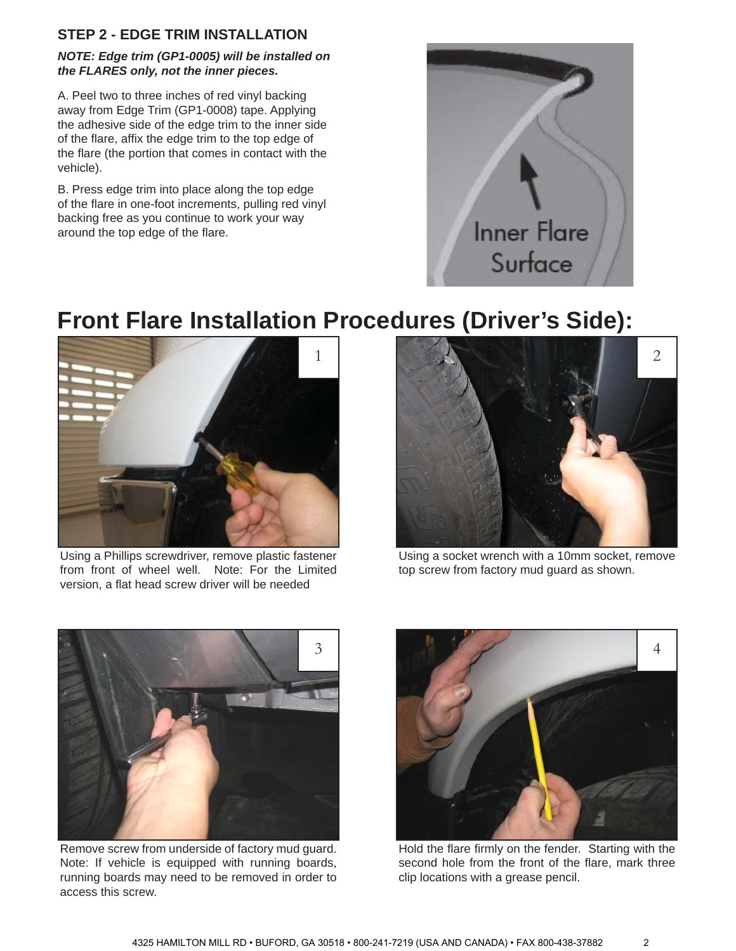## **STEP 2 - EDGE TRIM INSTALLATION**

#### *NOTE: Edge trim (GP1-0005) will be installed on the FLARES only, not the inner pieces.*

A. Peel two to three inches of red vinyl backing away from Edge Trim (GP1-0008) tape. Applying the adhesive side of the edge trim to the inner side of the flare, affix the edge trim to the top edge of the flare (the portion that comes in contact with the vehicle).

B. Press edge trim into place along the top edge of the flare in one-foot increments, pulling red vinyl backing free as you continue to work your way around the top edge of the flare.



# **Front Flare Installation Procedures (Driver's Side):**



Using a Phillips screwdriver, remove plastic fastener from front of wheel well. Note: For the Limited version, a flat head screw driver will be needed



Using a socket wrench with a 10mm socket, remove top screw from factory mud guard as shown.



Remove screw from underside of factory mud guard. Note: If vehicle is equipped with running boards, running boards may need to be removed in order to access this screw.



Hold the flare firmly on the fender. Starting with the second hole from the front of the flare, mark three clip locations with a grease pencil.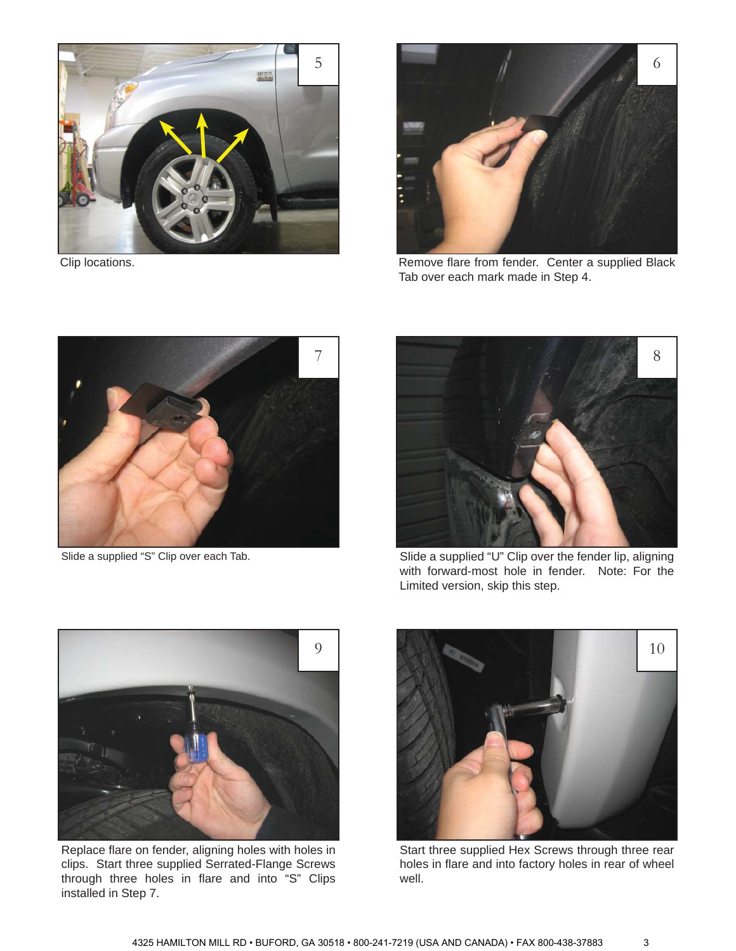

Clip locations.



Remove flare from fender. Center a supplied Black Tab over each mark made in Step 4.



Slide a supplied "S" Clip over each Tab.



Slide a supplied "U" Clip over the fender lip, aligning with forward-most hole in fender. Note: For the Limited version, skip this step.



Replace flare on fender, aligning holes with holes in clips. Start three supplied Serrated-Flange Screws through three holes in flare and into "S" Clips installed in Step 7.



Start three supplied Hex Screws through three rear holes in flare and into factory holes in rear of wheel well.